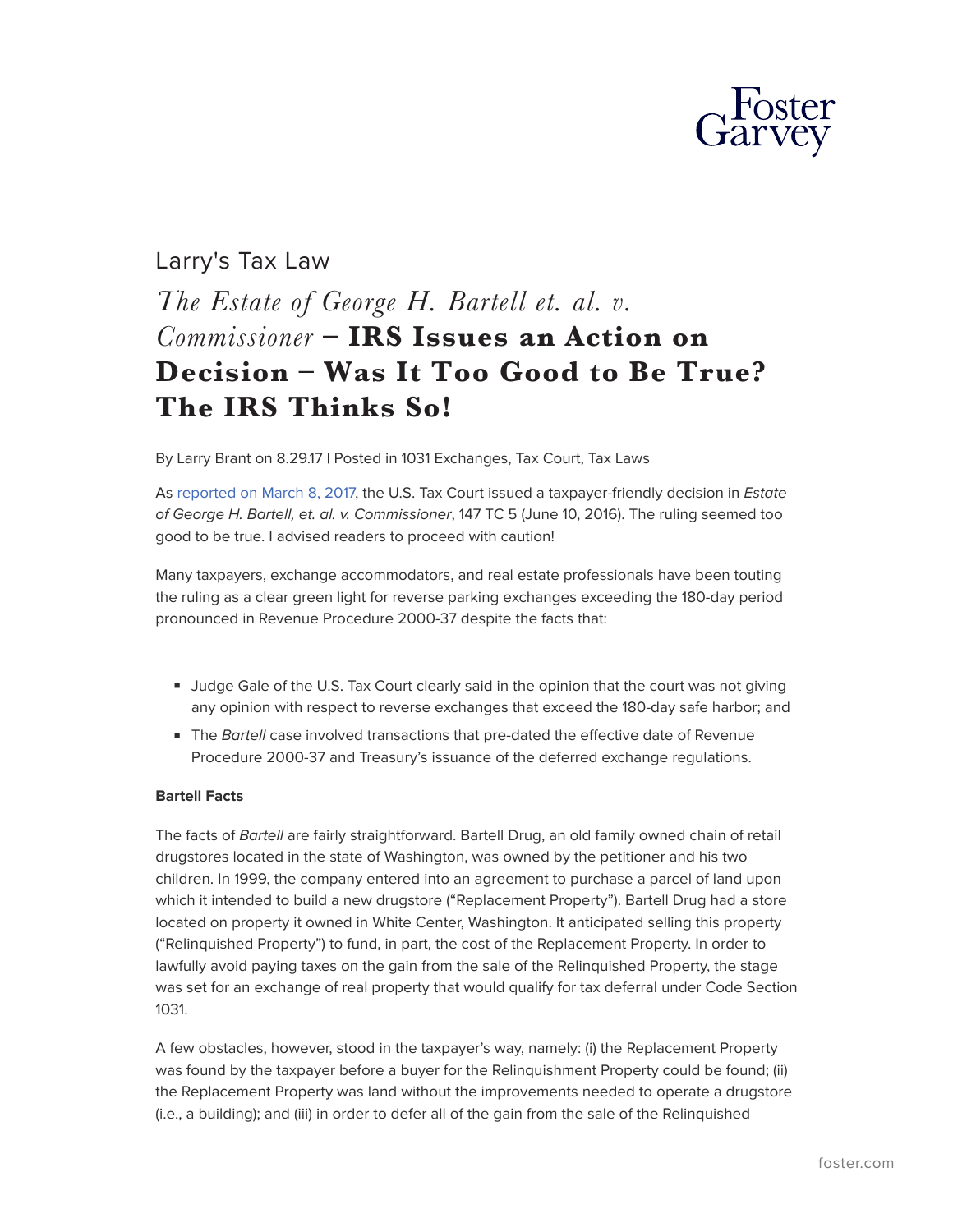

# Larry's Tax Law *The Estate of George H. Bartell et. al. v. Commissioner* **– IRS Issues an Action on Decision – Was It Too Good to Be True? The IRS Thinks So!**

By Larry Brant on 8.29.17 | Posted in 1031 Exchanges, Tax Court, Tax Laws

As [reported on March 8, 2017,](http://www.gsblaw.com/larry-s-tax-law/form-over-substance-sometimes-prevails-in-tax) the U.S. Tax Court issued a taxpayer-friendly decision in *Estate of George H. Bartell, et. al. v. Commissioner*, 147 TC 5 (June 10, 2016). The ruling seemed too good to be true. I advised readers to proceed with caution!

Many taxpayers, exchange accommodators, and real estate professionals have been touting the ruling as a clear green light for reverse parking exchanges exceeding the 180-day period pronounced in Revenue Procedure 2000-37 despite the facts that:

- Judge Gale of the U.S. Tax Court clearly said in the opinion that the court was not giving any opinion with respect to reverse exchanges that exceed the 180-day safe harbor; and
- The *Bartell* case involved transactions that pre-dated the effective date of Revenue Procedure 2000-37 and Treasury's issuance of the deferred exchange regulations.

#### **Bartell Facts**

The facts of *Bartell* are fairly straightforward. Bartell Drug, an old family owned chain of retail drugstores located in the state of Washington, was owned by the petitioner and his two children. In 1999, the company entered into an agreement to purchase a parcel of land upon which it intended to build a new drugstore ("Replacement Property"). Bartell Drug had a store located on property it owned in White Center, Washington. It anticipated selling this property ("Relinquished Property") to fund, in part, the cost of the Replacement Property. In order to lawfully avoid paying taxes on the gain from the sale of the Relinquished Property, the stage was set for an exchange of real property that would qualify for tax deferral under Code Section 1031.

A few obstacles, however, stood in the taxpayer's way, namely: (i) the Replacement Property was found by the taxpayer before a buyer for the Relinquishment Property could be found; (ii) the Replacement Property was land without the improvements needed to operate a drugstore (i.e., a building); and (iii) in order to defer all of the gain from the sale of the Relinquished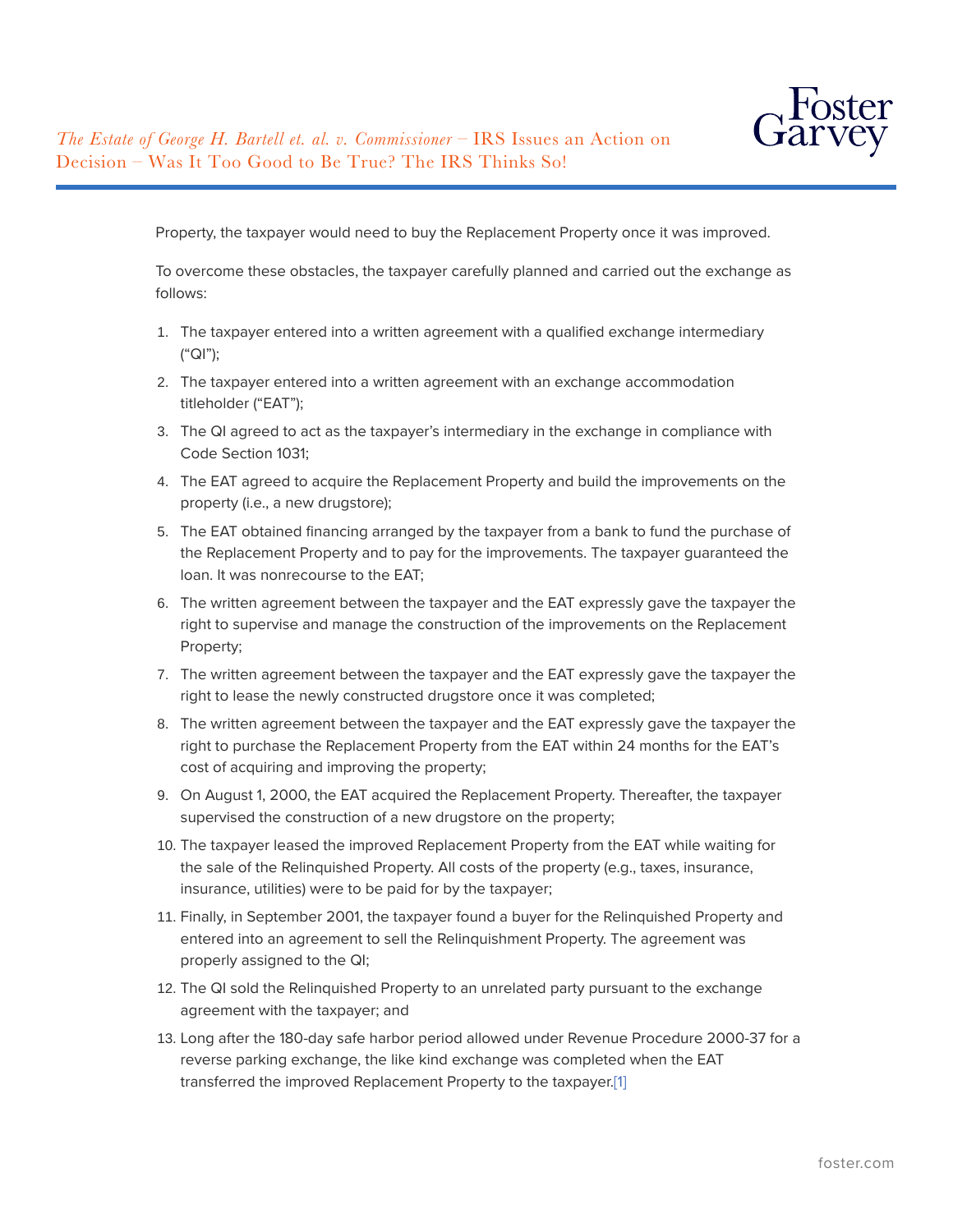

Property, the taxpayer would need to buy the Replacement Property once it was improved.

To overcome these obstacles, the taxpayer carefully planned and carried out the exchange as follows:

- 1. The taxpayer entered into a written agreement with a qualified exchange intermediary ("QI");
- 2. The taxpayer entered into a written agreement with an exchange accommodation titleholder ("EAT");
- 3. The QI agreed to act as the taxpayer's intermediary in the exchange in compliance with Code Section 1031;
- 4. The EAT agreed to acquire the Replacement Property and build the improvements on the property (i.e., a new drugstore);
- 5. The EAT obtained financing arranged by the taxpayer from a bank to fund the purchase of the Replacement Property and to pay for the improvements. The taxpayer guaranteed the loan. It was nonrecourse to the EAT;
- 6. The written agreement between the taxpayer and the EAT expressly gave the taxpayer the right to supervise and manage the construction of the improvements on the Replacement Property;
- 7. The written agreement between the taxpayer and the EAT expressly gave the taxpayer the right to lease the newly constructed drugstore once it was completed;
- 8. The written agreement between the taxpayer and the EAT expressly gave the taxpayer the right to purchase the Replacement Property from the EAT within 24 months for the EAT's cost of acquiring and improving the property;
- 9. On August 1, 2000, the EAT acquired the Replacement Property. Thereafter, the taxpayer supervised the construction of a new drugstore on the property;
- 10. The taxpayer leased the improved Replacement Property from the EAT while waiting for the sale of the Relinquished Property. All costs of the property (e.g., taxes, insurance, insurance, utilities) were to be paid for by the taxpayer;
- 11. Finally, in September 2001, the taxpayer found a buyer for the Relinquished Property and entered into an agreement to sell the Relinquishment Property. The agreement was properly assigned to the QI;
- 12. The QI sold the Relinquished Property to an unrelated party pursuant to the exchange agreement with the taxpayer; and
- 13. Long after the 180-day safe harbor period allowed under Revenue Procedure 2000-37 for a reverse parking exchange, the like kind exchange was completed when the EAT transferred the improved Replacement Property to the taxpayer[.\[1\]](#_ftn1)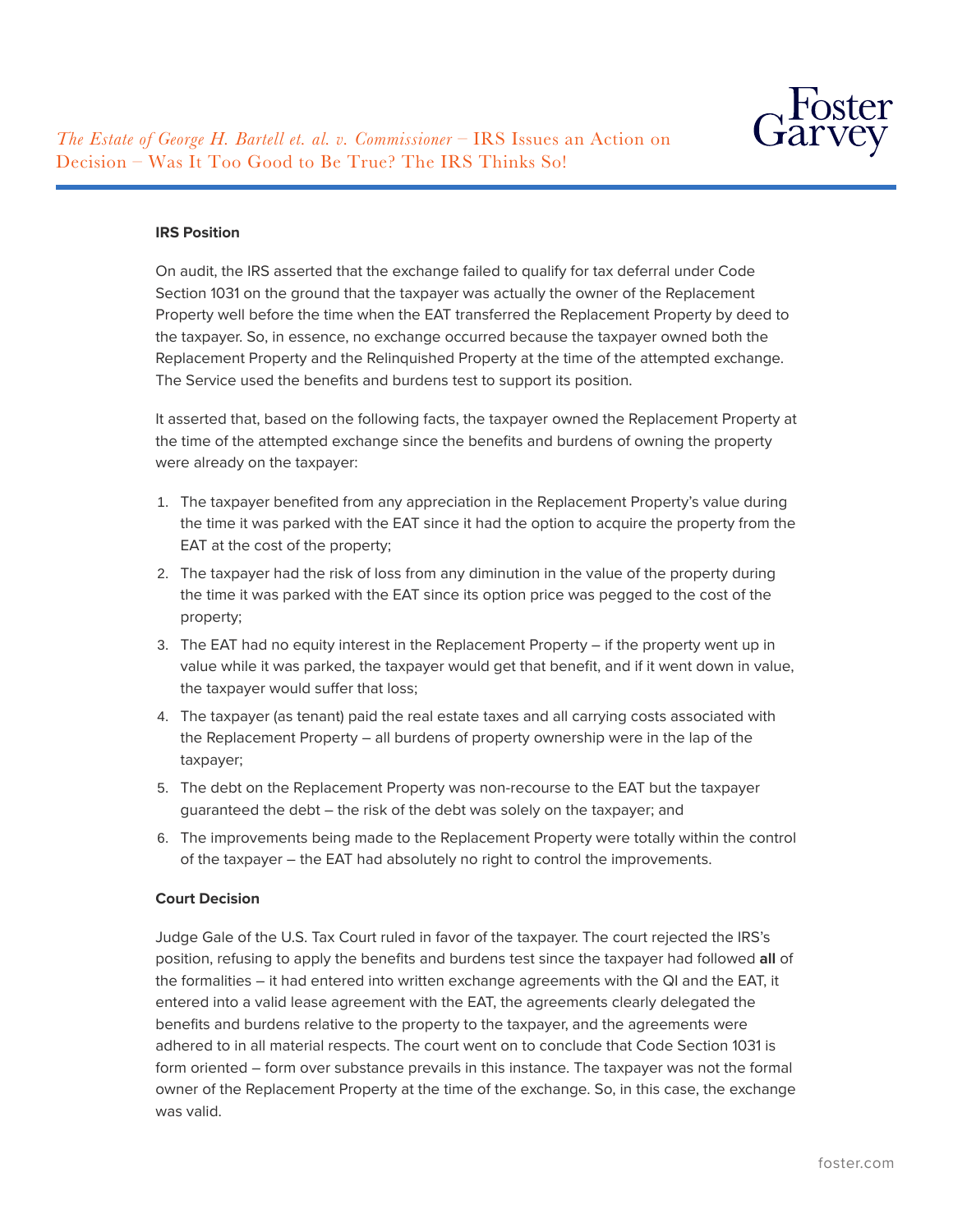

#### **IRS Position**

On audit, the IRS asserted that the exchange failed to qualify for tax deferral under Code Section 1031 on the ground that the taxpayer was actually the owner of the Replacement Property well before the time when the EAT transferred the Replacement Property by deed to the taxpayer. So, in essence, no exchange occurred because the taxpayer owned both the Replacement Property and the Relinquished Property at the time of the attempted exchange. The Service used the benefits and burdens test to support its position.

It asserted that, based on the following facts, the taxpayer owned the Replacement Property at the time of the attempted exchange since the benefits and burdens of owning the property were already on the taxpayer:

- 1. The taxpayer benefited from any appreciation in the Replacement Property's value during the time it was parked with the EAT since it had the option to acquire the property from the EAT at the cost of the property;
- 2. The taxpayer had the risk of loss from any diminution in the value of the property during the time it was parked with the EAT since its option price was pegged to the cost of the property;
- 3. The EAT had no equity interest in the Replacement Property if the property went up in value while it was parked, the taxpayer would get that benefit, and if it went down in value, the taxpayer would suffer that loss;
- 4. The taxpayer (as tenant) paid the real estate taxes and all carrying costs associated with the Replacement Property – all burdens of property ownership were in the lap of the taxpayer;
- 5. The debt on the Replacement Property was non-recourse to the EAT but the taxpayer guaranteed the debt – the risk of the debt was solely on the taxpayer; and
- 6. The improvements being made to the Replacement Property were totally within the control of the taxpayer – the EAT had absolutely no right to control the improvements.

## **Court Decision**

Judge Gale of the U.S. Tax Court ruled in favor of the taxpayer. The court rejected the IRS's position, refusing to apply the benefits and burdens test since the taxpayer had followed **all** of the formalities – it had entered into written exchange agreements with the QI and the EAT, it entered into a valid lease agreement with the EAT, the agreements clearly delegated the benefits and burdens relative to the property to the taxpayer, and the agreements were adhered to in all material respects. The court went on to conclude that Code Section 1031 is form oriented – form over substance prevails in this instance. The taxpayer was not the formal owner of the Replacement Property at the time of the exchange. So, in this case, the exchange was valid.